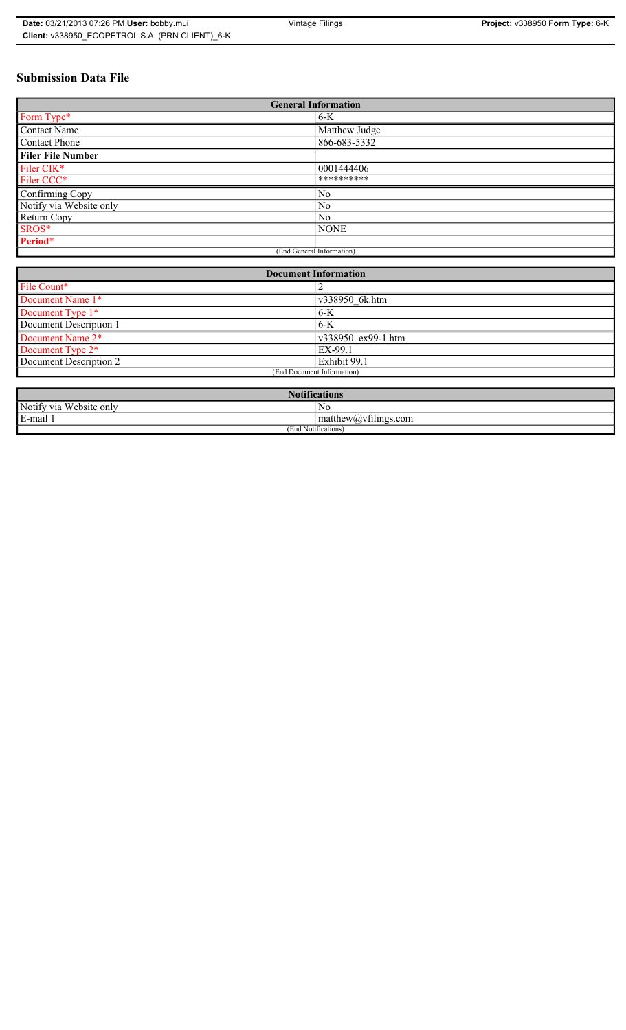# **Submission Data File**

| <b>General Information</b> |                |  |
|----------------------------|----------------|--|
| Form Type*                 | $6-K$          |  |
| Contact Name               | Matthew Judge  |  |
| <b>Contact Phone</b>       | 866-683-5332   |  |
| <b>Filer File Number</b>   |                |  |
| Filer CIK*                 | 0001444406     |  |
| Filer CCC*                 | **********     |  |
| Confirming Copy            | N <sub>0</sub> |  |
| Notify via Website only    | N <sub>0</sub> |  |
| Return Copy                | N <sub>0</sub> |  |
| SROS*                      | <b>NONE</b>    |  |
| Period*                    |                |  |
| (End General Information)  |                |  |

| <b>Document Information</b>  |                    |  |
|------------------------------|--------------------|--|
| File Count*                  |                    |  |
| Document Name 1*             | v338950 6k.htm     |  |
| Document Type 1*             | $6-K$              |  |
| Document Description 1       | 6-K                |  |
| Document Name 2*             | v338950 ex99-1.htm |  |
| Document Type 2 <sup>*</sup> | EX-99.1            |  |
| Document Description 2       | Exhibit 99.1       |  |
| (End Document Information)   |                    |  |
|                              |                    |  |

| <b>Notifications</b>                                |                                                                                                                                                                                          |  |
|-----------------------------------------------------|------------------------------------------------------------------------------------------------------------------------------------------------------------------------------------------|--|
| Website only<br>Notify via                          | N0                                                                                                                                                                                       |  |
| <b>The Contract Contract</b><br>$\sim$<br>Le-mail L | $-$<br>$mathem{$ therew( <i>a</i> ) <sub>v</sub> $t$ $t$ $t$ $t$ $t$ $t$ $t$ $t$ $t$ $t$ $t$ $t$ $t$ $t$ $t$ $t$ $t$ $t$ $t$ $t$ $t$ $t$ $t$ $t$ $t$ $t$ $t$ $t$ $t$ $t$ $t$ $t$ $t$ $t$ |  |
| (End Notifications)                                 |                                                                                                                                                                                          |  |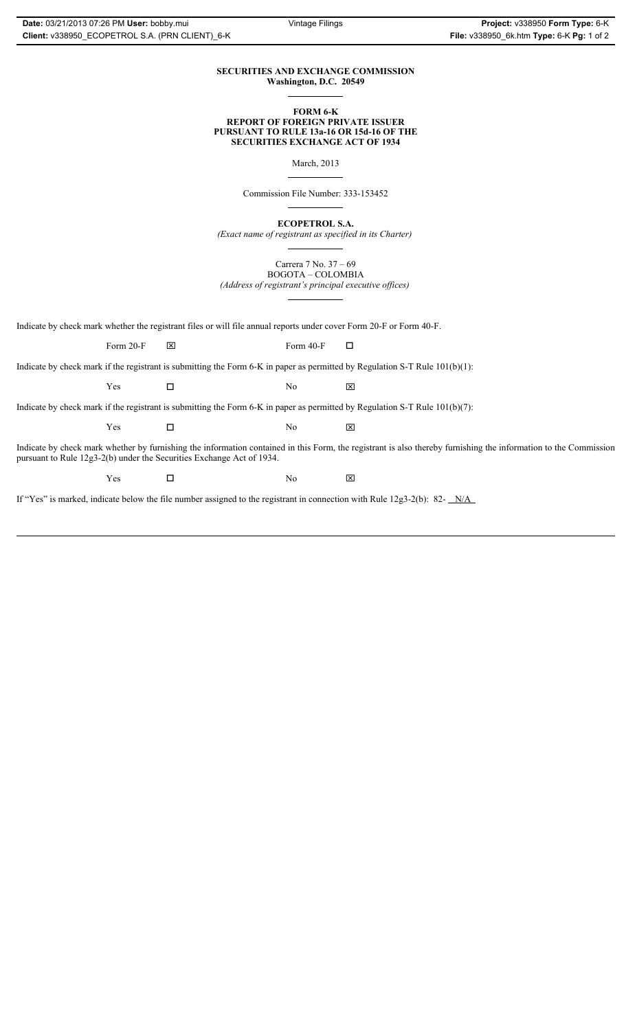# **SECURITIES AND EXCHANGE COMMISSION Washington, D.C. 20549**

### **FORM 6-K REPORT OF FOREIGN PRIVATE ISSUER PURSUANT TO RULE 13a-16 OR 15d-16 OF THE SECURITIES EXCHANGE ACT OF 1934**

March, 2013

Commission File Number: 333-153452

**ECOPETROL S.A.**

*(Exact name of registrant as specified in its Charter)*

Carrera 7 No. 37 – 69 BOGOTA – COLOMBIA

*(Address of registrant's principal executive offices)*

Indicate by check mark whether the registrant files or will file annual reports under cover Form 20-F or Form 40-F.

Form 20-F  $\boxtimes$  Form 40-F  $\Box$ 

Indicate by check mark if the registrant is submitting the Form 6-K in paper as permitted by Regulation S-T Rule 101(b)(1):

 $Yes$   $\Box$   $No$   $X$ 

Indicate by check mark if the registrant is submitting the Form 6-K in paper as permitted by Regulation S-T Rule 101(b)(7):

 $Yes$   $\Box$   $No$   $X$ 

Indicate by check mark whether by furnishing the information contained in this Form, the registrant is also thereby furnishing the information to the Commission pursuant to Rule 12g3-2(b) under the Securities Exchange Act of 1934.

 $Yes$   $\square$ 

If "Yes" is marked, indicate below the file number assigned to the registrant in connection with Rule 12g3-2(b): 82- N/A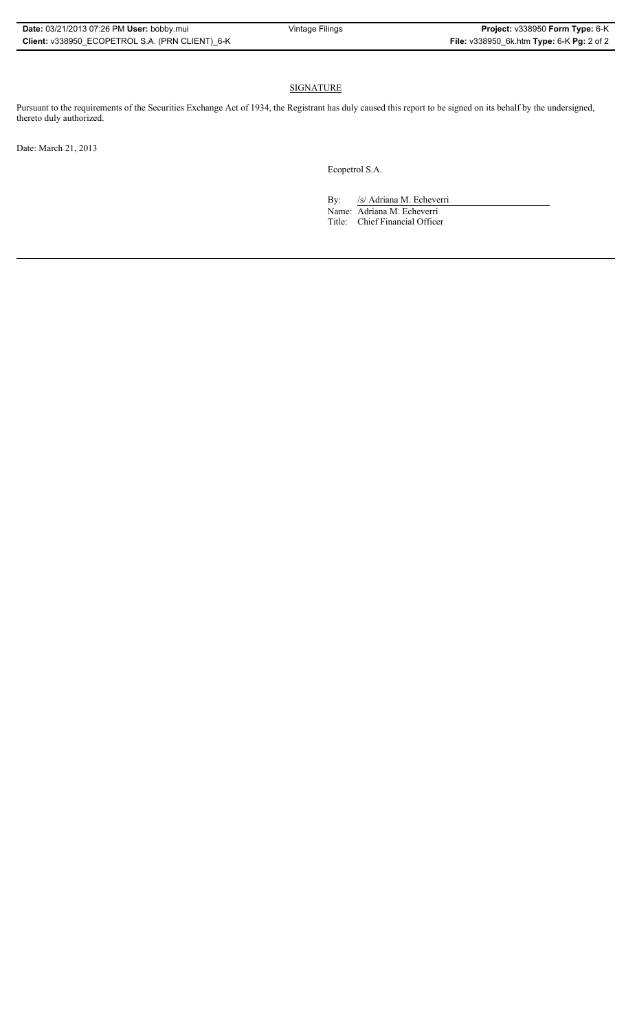# SIGNATURE

Pursuant to the requirements of the Securities Exchange Act of 1934, the Registrant has duly caused this report to be signed on its behalf by the undersigned, thereto duly authorized.

Date: March 21, 2013

Ecopetrol S.A.

By: /s/ Adriana M. Echeverri

Name: Adriana M. Echeverri Title: Chief Financial Officer